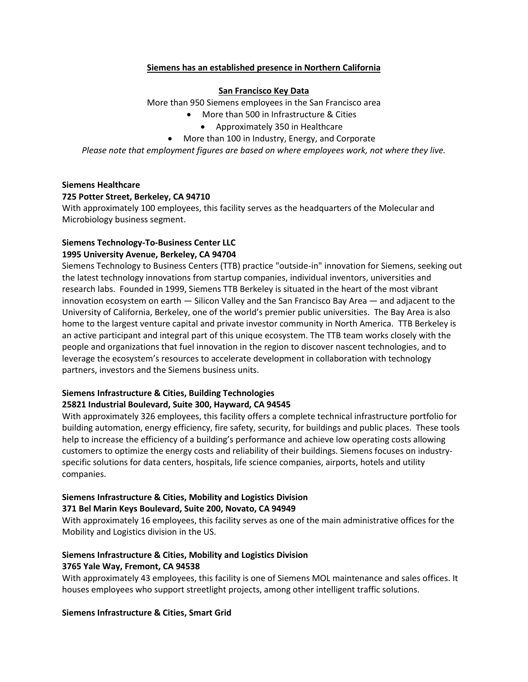## **Siemens has an established presence in Northern California**

#### **San Francisco Key Data**

More than 950 Siemens employees in the San Francisco area

- More than 500 in Infrastructure & Cities
	- Approximately 350 in Healthcare
- More than 100 in Industry, Energy, and Corporate

*Please note that employment figures are based on where employees work, not where they live.*

## **Siemens Healthcare**

#### **725 Potter Street, Berkeley, CA 94710**

With approximately 100 employees, this facility serves as the headquarters of the Molecular and Microbiology business segment.

## **Siemens Technology-To-Business Center LLC 1995 University Avenue, Berkeley, CA 94704**

Siemens Technology to Business Centers (TTB) practice "outside-in" innovation for Siemens, seeking out the latest technology innovations from startup companies, individual inventors, universities and research labs. Founded in 1999, Siemens TTB Berkeley is situated in the heart of the most vibrant innovation ecosystem on earth — Silicon Valley and the San Francisco Bay Area — and adjacent to the University of California, Berkeley, one of the world's premier public universities. The Bay Area is also home to the largest venture capital and private investor community in North America. TTB Berkeley is an active participant and integral part of this unique ecosystem. The TTB team works closely with the people and organizations that fuel innovation in the region to discover nascent technologies, and to leverage the ecosystem's resources to accelerate development in collaboration with technology partners, investors and the Siemens business units.

# **Siemens Infrastructure & Cities, Building Technologies 25821 Industrial Boulevard, Suite 300, Hayward, CA 94545**

With approximately 326 employees, this facility offers a complete technical infrastructure portfolio for building automation, energy efficiency, fire safety, security, for buildings and public places. These tools help to increase the efficiency of a building's performance and achieve low operating costs allowing customers to optimize the energy costs and reliability of their buildings. Siemens focuses on industryspecific solutions for data centers, hospitals, life science companies, airports, hotels and utility companies.

## **Siemens Infrastructure & Cities, Mobility and Logistics Division 371 Bel Marin Keys Boulevard, Suite 200, Novato, CA 94949**

With approximately 16 employees, this facility serves as one of the main administrative offices for the Mobility and Logistics division in the US.

# **Siemens Infrastructure & Cities, Mobility and Logistics Division 3765 Yale Way, Fremont, CA 94538**

With approximately 43 employees, this facility is one of Siemens MOL maintenance and sales offices. It houses employees who support streetlight projects, among other intelligent traffic solutions.

#### **Siemens Infrastructure & Cities, Smart Grid**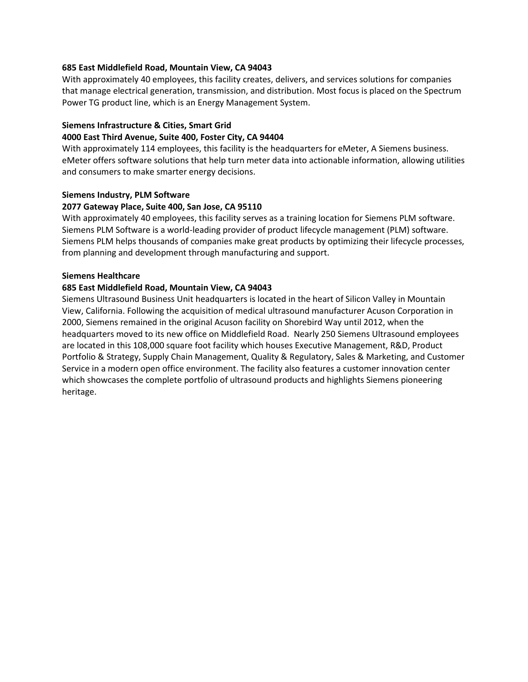### **685 East Middlefield Road, Mountain View, CA 94043**

With approximately 40 employees, this facility creates, delivers, and services solutions for companies that manage electrical generation, transmission, and distribution. Most focus is placed on the Spectrum Power TG product line, which is an Energy Management System.

## **Siemens Infrastructure & Cities, Smart Grid**

#### **4000 East Third Avenue, Suite 400, Foster City, CA 94404**

With approximately 114 employees, this facility is the headquarters for eMeter, A Siemens business. eMeter offers software solutions that help turn meter data into actionable information, allowing utilities and consumers to make smarter energy decisions.

### **Siemens Industry, PLM Software**

### **2077 Gateway Place, Suite 400, San Jose, CA 95110**

With approximately 40 employees, this facility serves as a training location for Siemens PLM software. Siemens PLM Software is a world-leading provider of product lifecycle management (PLM) software. Siemens PLM helps thousands of companies make great products by optimizing their lifecycle processes, from planning and development through manufacturing and support.

### **Siemens Healthcare**

## **685 East Middlefield Road, Mountain View, CA 94043**

Siemens Ultrasound Business Unit headquarters is located in the heart of Silicon Valley in Mountain View, California. Following the acquisition of medical ultrasound manufacturer Acuson Corporation in 2000, Siemens remained in the original Acuson facility on Shorebird Way until 2012, when the headquarters moved to its new office on Middlefield Road. Nearly 250 Siemens Ultrasound employees are located in this 108,000 square foot facility which houses Executive Management, R&D, Product Portfolio & Strategy, Supply Chain Management, Quality & Regulatory, Sales & Marketing, and Customer Service in a modern open office environment. The facility also features a customer innovation center which showcases the complete portfolio of ultrasound products and highlights Siemens pioneering heritage.